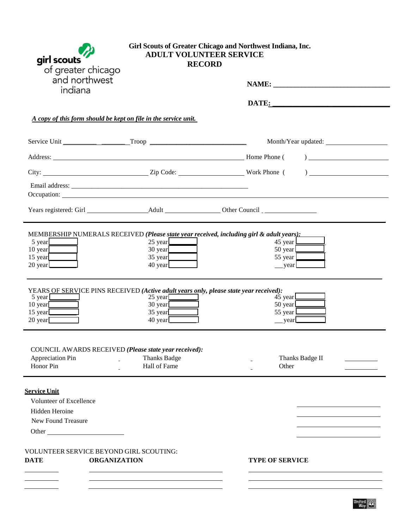| girl scouts<br>of greater chicago                                                                                                                                                                                                   | Girl Scouts of Greater Chicago and Northwest Indiana, Inc.<br><b>ADULT VOLUNTEER SERVICE</b><br><b>RECORD</b> |                                                                                                                                                                          |  |
|-------------------------------------------------------------------------------------------------------------------------------------------------------------------------------------------------------------------------------------|---------------------------------------------------------------------------------------------------------------|--------------------------------------------------------------------------------------------------------------------------------------------------------------------------|--|
| and northwest<br>indiana                                                                                                                                                                                                            |                                                                                                               |                                                                                                                                                                          |  |
|                                                                                                                                                                                                                                     |                                                                                                               | DATE:                                                                                                                                                                    |  |
| A copy of this form should be kept on file in the service unit.                                                                                                                                                                     |                                                                                                               |                                                                                                                                                                          |  |
|                                                                                                                                                                                                                                     |                                                                                                               |                                                                                                                                                                          |  |
| Address: Mome Phone (                                                                                                                                                                                                               |                                                                                                               | $\frac{1}{2}$                                                                                                                                                            |  |
| City: <u>City:</u> Zip Code: <u>City:</u> Zip Code: <u>City:</u> 2006.                                                                                                                                                              |                                                                                                               |                                                                                                                                                                          |  |
| Occupation: <u>contract the contract of the contract of</u> the contract of the contract of the contract of the contract of the contract of the contract of the contract of the contract of the contract of the contract of the con |                                                                                                               |                                                                                                                                                                          |  |
|                                                                                                                                                                                                                                     |                                                                                                               |                                                                                                                                                                          |  |
| 5 year<br>10 year<br>15 year<br>20 year                                                                                                                                                                                             | $25 \text{ year}$<br>$30 \text{ year}$<br>35 year<br>$40 \text{ year}$                                        | MEMBERSHIP NUMERALS RECEIVED (Please state year received, including girl & adult years):<br>45 year $\mathbf{\underline{L}}$<br>50 year $\Box$<br>55 year $\Box$<br>year |  |
| YEARS OF SERVICE PINS RECEIVED (Active adult years only, please state year received):<br>$5 \text{ year}$<br>$10 \text{ year}$<br>$15 \text{ year}$<br>$20 \text{ year}$                                                            | $25 \text{ year}$<br>$30 \text{ year}$<br>$35 \text{ year}$<br>$40 \text{ year}$                              | 45 year<br>50 year<br>55 year $\Box$<br>__year                                                                                                                           |  |
| COUNCIL AWARDS RECEIVED (Please state year received):<br>Appreciation Pin<br>Honor Pin                                                                                                                                              | <b>Thanks Badge</b><br>Hall of Fame                                                                           | Thanks Badge II<br>Other                                                                                                                                                 |  |
| <b>Service Unit</b><br>Volunteer of Excellence<br>Hidden Heroine<br>New Found Treasure<br>Other                                                                                                                                     |                                                                                                               |                                                                                                                                                                          |  |
| VOLUNTEER SERVICE BEYOND GIRL SCOUTING:<br><b>ORGANIZATION</b><br><b>DATE</b>                                                                                                                                                       |                                                                                                               | <b>TYPE OF SERVICE</b>                                                                                                                                                   |  |
| the control of the control of the                                                                                                                                                                                                   |                                                                                                               |                                                                                                                                                                          |  |